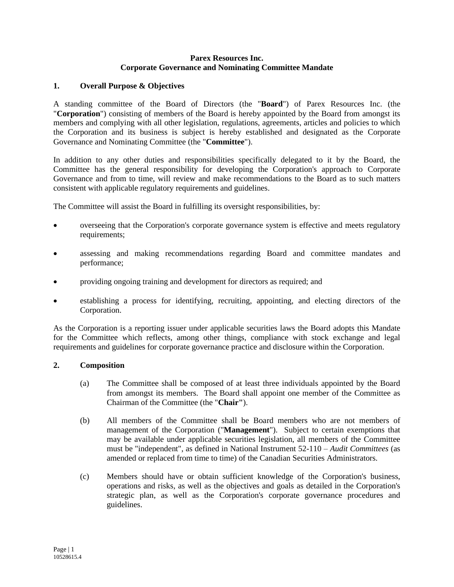#### **Parex Resources Inc. Corporate Governance and Nominating Committee Mandate**

## **1. Overall Purpose & Objectives**

A standing committee of the Board of Directors (the "**Board**") of Parex Resources Inc. (the "**Corporation**") consisting of members of the Board is hereby appointed by the Board from amongst its members and complying with all other legislation, regulations, agreements, articles and policies to which the Corporation and its business is subject is hereby established and designated as the Corporate Governance and Nominating Committee (the "**Committee**").

In addition to any other duties and responsibilities specifically delegated to it by the Board, the Committee has the general responsibility for developing the Corporation's approach to Corporate Governance and from to time, will review and make recommendations to the Board as to such matters consistent with applicable regulatory requirements and guidelines.

The Committee will assist the Board in fulfilling its oversight responsibilities, by:

- overseeing that the Corporation's corporate governance system is effective and meets regulatory requirements;
- assessing and making recommendations regarding Board and committee mandates and performance;
- providing ongoing training and development for directors as required; and
- establishing a process for identifying, recruiting, appointing, and electing directors of the Corporation.

As the Corporation is a reporting issuer under applicable securities laws the Board adopts this Mandate for the Committee which reflects, among other things, compliance with stock exchange and legal requirements and guidelines for corporate governance practice and disclosure within the Corporation.

#### **2. Composition**

- (a) The Committee shall be composed of at least three individuals appointed by the Board from amongst its members. The Board shall appoint one member of the Committee as Chairman of the Committee (the "**Chair"**).
- (b) All members of the Committee shall be Board members who are not members of management of the Corporation ("**Management**"). Subject to certain exemptions that may be available under applicable securities legislation, all members of the Committee must be "independent", as defined in National Instrument 52-110 – *Audit Committees* (as amended or replaced from time to time) of the Canadian Securities Administrators.
- (c) Members should have or obtain sufficient knowledge of the Corporation's business, operations and risks, as well as the objectives and goals as detailed in the Corporation's strategic plan, as well as the Corporation's corporate governance procedures and guidelines.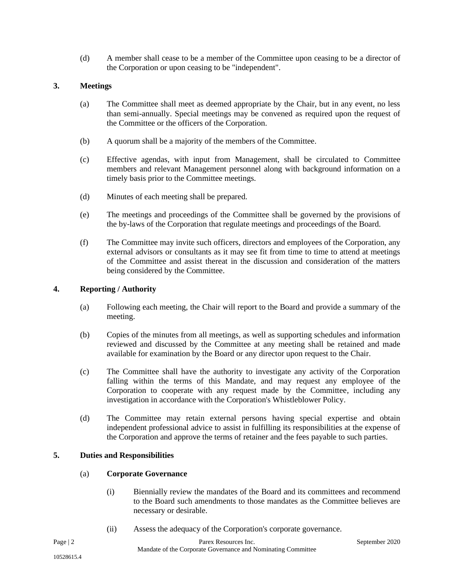(d) A member shall cease to be a member of the Committee upon ceasing to be a director of the Corporation or upon ceasing to be "independent".

# **3. Meetings**

- (a) The Committee shall meet as deemed appropriate by the Chair, but in any event, no less than semi-annually. Special meetings may be convened as required upon the request of the Committee or the officers of the Corporation.
- (b) A quorum shall be a majority of the members of the Committee.
- (c) Effective agendas, with input from Management, shall be circulated to Committee members and relevant Management personnel along with background information on a timely basis prior to the Committee meetings.
- (d) Minutes of each meeting shall be prepared.
- (e) The meetings and proceedings of the Committee shall be governed by the provisions of the by-laws of the Corporation that regulate meetings and proceedings of the Board.
- (f) The Committee may invite such officers, directors and employees of the Corporation, any external advisors or consultants as it may see fit from time to time to attend at meetings of the Committee and assist thereat in the discussion and consideration of the matters being considered by the Committee.

## **4. Reporting / Authority**

- (a) Following each meeting, the Chair will report to the Board and provide a summary of the meeting.
- (b) Copies of the minutes from all meetings, as well as supporting schedules and information reviewed and discussed by the Committee at any meeting shall be retained and made available for examination by the Board or any director upon request to the Chair.
- (c) The Committee shall have the authority to investigate any activity of the Corporation falling within the terms of this Mandate, and may request any employee of the Corporation to cooperate with any request made by the Committee, including any investigation in accordance with the Corporation's Whistleblower Policy.
- (d) The Committee may retain external persons having special expertise and obtain independent professional advice to assist in fulfilling its responsibilities at the expense of the Corporation and approve the terms of retainer and the fees payable to such parties.

#### **5. Duties and Responsibilities**

#### (a) **Corporate Governance**

- (i) Biennially review the mandates of the Board and its committees and recommend to the Board such amendments to those mandates as the Committee believes are necessary or desirable.
- (ii) Assess the adequacy of the Corporation's corporate governance.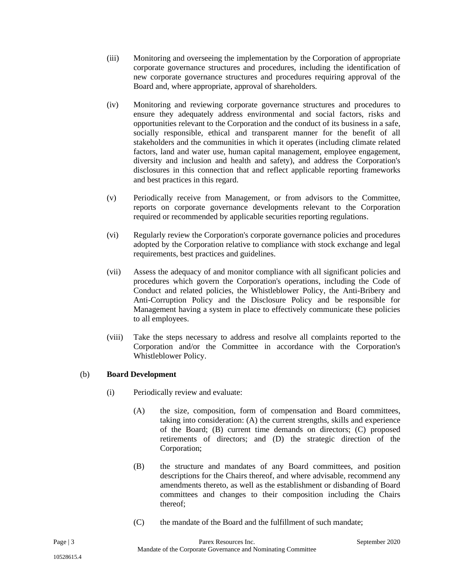- (iii) Monitoring and overseeing the implementation by the Corporation of appropriate corporate governance structures and procedures, including the identification of new corporate governance structures and procedures requiring approval of the Board and, where appropriate, approval of shareholders.
- (iv) Monitoring and reviewing corporate governance structures and procedures to ensure they adequately address environmental and social factors, risks and opportunities relevant to the Corporation and the conduct of its business in a safe, socially responsible, ethical and transparent manner for the benefit of all stakeholders and the communities in which it operates (including climate related factors, land and water use, human capital management, employee engagement, diversity and inclusion and health and safety), and address the Corporation's disclosures in this connection that and reflect applicable reporting frameworks and best practices in this regard.
- (v) Periodically receive from Management, or from advisors to the Committee, reports on corporate governance developments relevant to the Corporation required or recommended by applicable securities reporting regulations.
- (vi) Regularly review the Corporation's corporate governance policies and procedures adopted by the Corporation relative to compliance with stock exchange and legal requirements, best practices and guidelines.
- (vii) Assess the adequacy of and monitor compliance with all significant policies and procedures which govern the Corporation's operations, including the Code of Conduct and related policies, the Whistleblower Policy, the Anti-Bribery and Anti-Corruption Policy and the Disclosure Policy and be responsible for Management having a system in place to effectively communicate these policies to all employees.
- (viii) Take the steps necessary to address and resolve all complaints reported to the Corporation and/or the Committee in accordance with the Corporation's Whistleblower Policy.

## (b) **Board Development**

- (i) Periodically review and evaluate:
	- (A) the size, composition, form of compensation and Board committees, taking into consideration: (A) the current strengths, skills and experience of the Board; (B) current time demands on directors; (C) proposed retirements of directors; and (D) the strategic direction of the Corporation;
	- (B) the structure and mandates of any Board committees, and position descriptions for the Chairs thereof, and where advisable, recommend any amendments thereto, as well as the establishment or disbanding of Board committees and changes to their composition including the Chairs thereof;
	- (C) the mandate of the Board and the fulfillment of such mandate;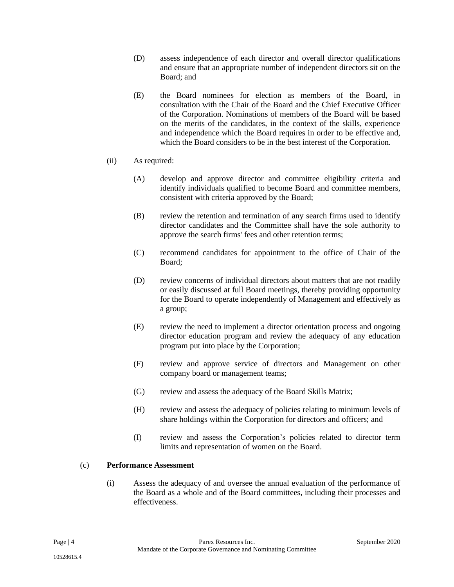- (D) assess independence of each director and overall director qualifications and ensure that an appropriate number of independent directors sit on the Board; and
- (E) the Board nominees for election as members of the Board, in consultation with the Chair of the Board and the Chief Executive Officer of the Corporation. Nominations of members of the Board will be based on the merits of the candidates, in the context of the skills, experience and independence which the Board requires in order to be effective and, which the Board considers to be in the best interest of the Corporation.

## (ii) As required:

- (A) develop and approve director and committee eligibility criteria and identify individuals qualified to become Board and committee members, consistent with criteria approved by the Board;
- (B) review the retention and termination of any search firms used to identify director candidates and the Committee shall have the sole authority to approve the search firms' fees and other retention terms;
- (C) recommend candidates for appointment to the office of Chair of the Board;
- (D) review concerns of individual directors about matters that are not readily or easily discussed at full Board meetings, thereby providing opportunity for the Board to operate independently of Management and effectively as a group;
- (E) review the need to implement a director orientation process and ongoing director education program and review the adequacy of any education program put into place by the Corporation;
- (F) review and approve service of directors and Management on other company board or management teams;
- (G) review and assess the adequacy of the Board Skills Matrix;
- (H) review and assess the adequacy of policies relating to minimum levels of share holdings within the Corporation for directors and officers; and
- (I) review and assess the Corporation's policies related to director term limits and representation of women on the Board.

#### (c) **Performance Assessment**

(i) Assess the adequacy of and oversee the annual evaluation of the performance of the Board as a whole and of the Board committees, including their processes and effectiveness.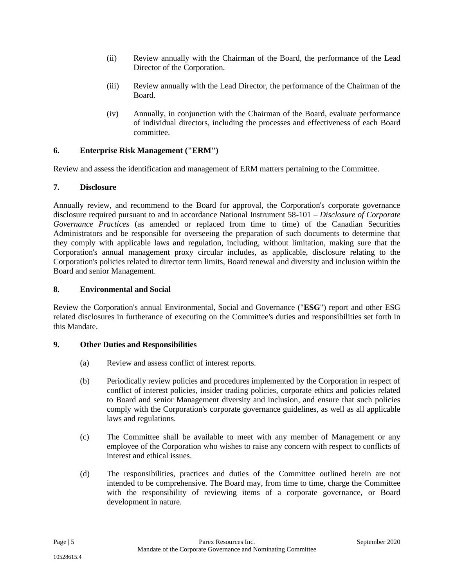- (ii) Review annually with the Chairman of the Board, the performance of the Lead Director of the Corporation.
- (iii) Review annually with the Lead Director, the performance of the Chairman of the Board.
- (iv) Annually, in conjunction with the Chairman of the Board, evaluate performance of individual directors, including the processes and effectiveness of each Board committee.

## **6. Enterprise Risk Management ("ERM")**

Review and assess the identification and management of ERM matters pertaining to the Committee.

## **7. Disclosure**

Annually review, and recommend to the Board for approval, the Corporation's corporate governance disclosure required pursuant to and in accordance National Instrument 58-101 – *Disclosure of Corporate Governance Practices* (as amended or replaced from time to time) of the Canadian Securities Administrators and be responsible for overseeing the preparation of such documents to determine that they comply with applicable laws and regulation, including, without limitation, making sure that the Corporation's annual management proxy circular includes, as applicable, disclosure relating to the Corporation's policies related to director term limits, Board renewal and diversity and inclusion within the Board and senior Management.

#### **8. Environmental and Social**

Review the Corporation's annual Environmental, Social and Governance ("**ESG**") report and other ESG related disclosures in furtherance of executing on the Committee's duties and responsibilities set forth in this Mandate.

## **9. Other Duties and Responsibilities**

- (a) Review and assess conflict of interest reports.
- (b) Periodically review policies and procedures implemented by the Corporation in respect of conflict of interest policies, insider trading policies, corporate ethics and policies related to Board and senior Management diversity and inclusion, and ensure that such policies comply with the Corporation's corporate governance guidelines, as well as all applicable laws and regulations.
- (c) The Committee shall be available to meet with any member of Management or any employee of the Corporation who wishes to raise any concern with respect to conflicts of interest and ethical issues.
- (d) The responsibilities, practices and duties of the Committee outlined herein are not intended to be comprehensive. The Board may, from time to time, charge the Committee with the responsibility of reviewing items of a corporate governance, or Board development in nature.